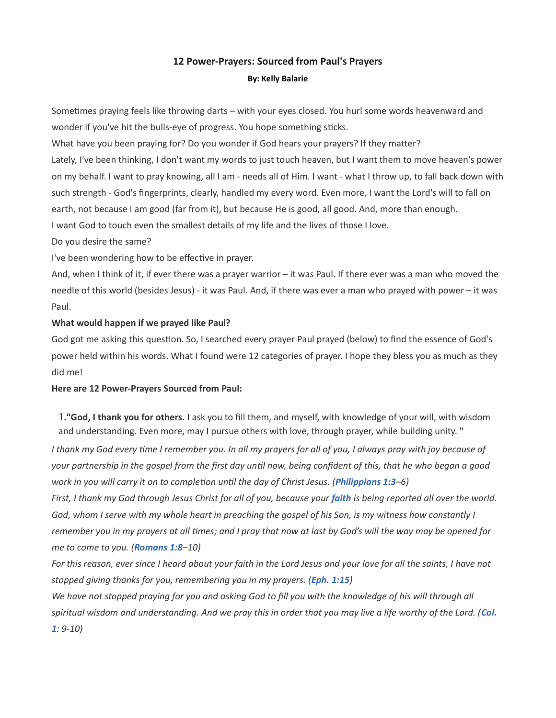# 12 Power-Prayers: Sourced from Paul's Prayers By: Kelly Balarie

Sometimes praying feels like throwing darts – with your eyes closed. You hurl some words heavenward and wonder if you've hit the bulls-eye of progress. You hope something sticks.

What have you been praying for? Do you wonder if God hears your prayers? If they matter?

Lately, I've been thinking, I don't want my words to just touch heaven, but I want them to move heaven's power on my behalf. I want to pray knowing, all I am - needs all of Him. I want - what I throw up, to fall back down with such strength - God's fingerprints, clearly, handled my every word. Even more, I want the Lord's will to fall on earth, not because I am good (far from it), but because He is good, all good. And, more than enough.

I want God to touch even the smallest details of my life and the lives of those I love.

Do you desire the same?

I've been wondering how to be effective in prayer.

And, when I think of it, if ever there was a prayer warrior – it was Paul. If there ever was a man who moved the needle of this world (besides Jesus) - it was Paul. And, if there was ever a man who prayed with power – it was Paul.

## What would happen if we prayed like Paul?

God got me asking this question. So, I searched every prayer Paul prayed (below) to find the essence of God's power held within his words. What I found were 12 categories of prayer. I hope they bless you as much as they did me!

### Here are 12 Power-Prayers Sourced from Paul:

1."God, I thank you for others. I ask you to fill them, and myself, with knowledge of your will, with wisdom and understanding. Even more, may I pursue others with love, through prayer, while building unity. "

I thank my God every time I remember you. In all my prayers for all of you, I always pray with joy because of your partnership in the gospel from the first day until now, being confident of this, that he who began a good work in you will carry it on to completion until the day of Christ Jesus. (Philippians 1:3–6)

First, I thank my God through Jesus Christ for all of you, because your faith is being reported all over the world. God, whom I serve with my whole heart in preaching the gospel of his Son, is my witness how constantly I remember you in my prayers at all times; and I pray that now at last by God's will the way may be opened for me to come to you. (Romans 1:8-10)

For this reason, ever since I heard about your faith in the Lord Jesus and your love for all the saints, I have not stopped giving thanks for you, remembering you in my prayers. (Eph. 1:15)

We have not stopped praying for you and asking God to fill you with the knowledge of his will through all spiritual wisdom and understanding. And we pray this in order that you may live a life worthy of the Lord. (Col. 1: 9-10)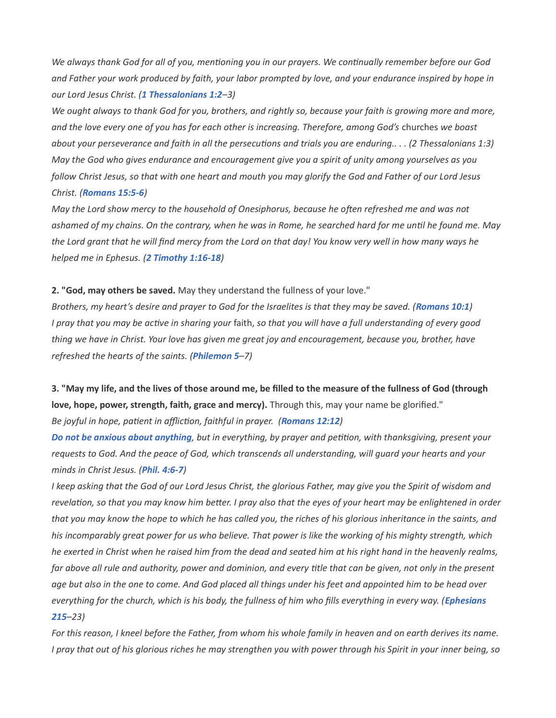We always thank God for all of you, mentioning you in our prayers. We continually remember before our God and Father your work produced by faith, your labor prompted by love, and your endurance inspired by hope in our Lord Jesus Christ. (1 Thessalonians 1:2-3)

We ought always to thank God for you, brothers, and rightly so, because your faith is growing more and more, and the love every one of you has for each other is increasing. Therefore, among God's churches we boast about your perseverance and faith in all the persecutions and trials you are enduring.. . . (2 Thessalonians 1:3) May the God who gives endurance and encouragement give you a spirit of unity among yourselves as you follow Christ Jesus, so that with one heart and mouth you may glorify the God and Father of our Lord Jesus Christ. (Romans 15:5-6)

May the Lord show mercy to the household of Onesiphorus, because he often refreshed me and was not ashamed of my chains. On the contrary, when he was in Rome, he searched hard for me until he found me. May the Lord grant that he will find mercy from the Lord on that day! You know very well in how many ways he helped me in Ephesus. (2 Timothy 1:16-18)

### 2. "God, may others be saved. May they understand the fullness of your love."

Brothers, my heart's desire and prayer to God for the Israelites is that they may be saved. (Romans 10:1) I pray that you may be active in sharing your faith, so that you will have a full understanding of every good thing we have in Christ. Your love has given me great joy and encouragement, because you, brother, have refreshed the hearts of the saints. (Philemon 5–7)

3. "May my life, and the lives of those around me, be filled to the measure of the fullness of God (through love, hope, power, strength, faith, grace and mercy). Through this, may your name be glorified."

Be joyful in hope, patient in affliction, faithful in prayer. (Romans 12:12)

Do not be anxious about anything, but in everything, by prayer and petition, with thanksgiving, present your requests to God. And the peace of God, which transcends all understanding, will guard your hearts and your minds in Christ Jesus. (Phil. 4:6-7)

I keep asking that the God of our Lord Jesus Christ, the glorious Father, may give you the Spirit of wisdom and revelation, so that you may know him better. I pray also that the eyes of your heart may be enlightened in order that you may know the hope to which he has called you, the riches of his glorious inheritance in the saints, and his incomparably great power for us who believe. That power is like the working of his mighty strength, which he exerted in Christ when he raised him from the dead and seated him at his right hand in the heavenly realms, far above all rule and authority, power and dominion, and every title that can be given, not only in the present age but also in the one to come. And God placed all things under his feet and appointed him to be head over everything for the church, which is his body, the fullness of him who fills everything in every way. (Ephesians 215–23)

For this reason, I kneel before the Father, from whom his whole family in heaven and on earth derives its name. I pray that out of his glorious riches he may strengthen you with power through his Spirit in your inner being, so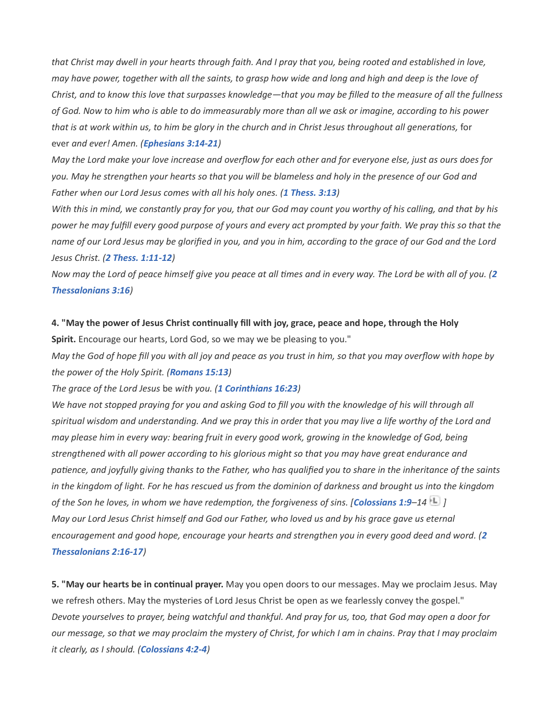that Christ may dwell in your hearts through faith. And I pray that you, being rooted and established in love, may have power, together with all the saints, to grasp how wide and long and high and deep is the love of Christ, and to know this love that surpasses knowledge—that you may be filled to the measure of all the fullness of God. Now to him who is able to do immeasurably more than all we ask or imagine, according to his power that is at work within us, to him be glory in the church and in Christ Jesus throughout all generations, for ever and ever! Amen. (Ephesians 3:14-21)

May the Lord make your love increase and overflow for each other and for everyone else, just as ours does for you. May he strengthen your hearts so that you will be blameless and holy in the presence of our God and Father when our Lord Jesus comes with all his holy ones. (1 Thess. 3:13)

With this in mind, we constantly pray for you, that our God may count you worthy of his calling, and that by his power he may fulfill every good purpose of yours and every act prompted by your faith. We pray this so that the name of our Lord Jesus may be glorified in you, and you in him, according to the grace of our God and the Lord Jesus Christ. (2 Thess. 1:11-12)

Now may the Lord of peace himself give you peace at all times and in every way. The Lord be with all of you. (2 Thessalonians 3:16)

4. "May the power of Jesus Christ continually fill with joy, grace, peace and hope, through the Holy Spirit. Encourage our hearts, Lord God, so we may we be pleasing to you."

May the God of hope fill you with all joy and peace as you trust in him, so that you may overflow with hope by the power of the Holy Spirit. (Romans 15:13)

The grace of the Lord Jesus be with you. (1 Corinthians 16:23)

We have not stopped praying for you and asking God to fill you with the knowledge of his will through all spiritual wisdom and understanding. And we pray this in order that you may live a life worthy of the Lord and may please him in every way: bearing fruit in every good work, growing in the knowledge of God, being strengthened with all power according to his glorious might so that you may have great endurance and patience, and joyfully giving thanks to the Father, who has qualified you to share in the inheritance of the saints in the kingdom of light. For he has rescued us from the dominion of darkness and brought us into the kingdom of the Son he loves, in whom we have redemption, the forgiveness of sins. [Colossians 1:9–14  $\pm$  ] May our Lord Jesus Christ himself and God our Father, who loved us and by his grace gave us eternal encouragement and good hope, encourage your hearts and strengthen you in every good deed and word. (2 Thessalonians 2:16-17)

5. "May our hearts be in continual prayer. May you open doors to our messages. May we proclaim Jesus. May we refresh others. May the mysteries of Lord Jesus Christ be open as we fearlessly convey the gospel." Devote yourselves to prayer, being watchful and thankful. And pray for us, too, that God may open a door for our message, so that we may proclaim the mystery of Christ, for which I am in chains. Pray that I may proclaim it clearly, as I should. (Colossians 4:2-4)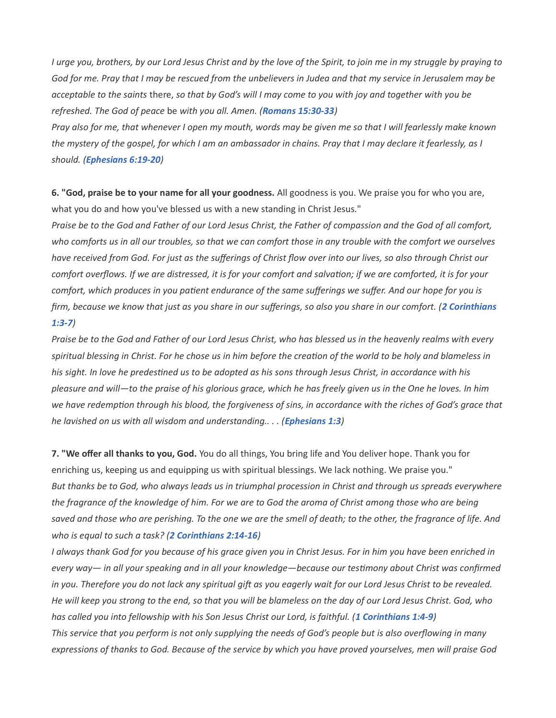I urge you, brothers, by our Lord Jesus Christ and by the love of the Spirit, to join me in my struggle by praying to God for me. Pray that I may be rescued from the unbelievers in Judea and that my service in Jerusalem may be acceptable to the saints there, so that by God's will I may come to you with joy and together with you be refreshed. The God of peace be with you all. Amen. (Romans 15:30-33)

Pray also for me, that whenever I open my mouth, words may be given me so that I will fearlessly make known the mystery of the gospel, for which I am an ambassador in chains. Pray that I may declare it fearlessly, as I should. (Ephesians 6:19-20)

6. "God, praise be to your name for all your goodness. All goodness is you. We praise you for who you are, what you do and how you've blessed us with a new standing in Christ Jesus."

Praise be to the God and Father of our Lord Jesus Christ, the Father of compassion and the God of all comfort, who comforts us in all our troubles, so that we can comfort those in any trouble with the comfort we ourselves have received from God. For just as the sufferings of Christ flow over into our lives, so also through Christ our comfort overflows. If we are distressed, it is for your comfort and salvation; if we are comforted, it is for your comfort, which produces in you patient endurance of the same sufferings we suffer. And our hope for you is firm, because we know that just as you share in our sufferings, so also you share in our comfort. (2 Corinthians 1:3-7)

Praise be to the God and Father of our Lord Jesus Christ, who has blessed us in the heavenly realms with every spiritual blessing in Christ. For he chose us in him before the creation of the world to be holy and blameless in his sight. In love he predestined us to be adopted as his sons through Jesus Christ, in accordance with his pleasure and will—to the praise of his glorious grace, which he has freely given us in the One he loves. In him we have redemption through his blood, the forgiveness of sins, in accordance with the riches of God's grace that he lavished on us with all wisdom and understanding...  $\sqrt{Ephesians}$  1:3)

7. "We offer all thanks to you, God. You do all things, You bring life and You deliver hope. Thank you for enriching us, keeping us and equipping us with spiritual blessings. We lack nothing. We praise you." But thanks be to God, who always leads us in triumphal procession in Christ and through us spreads everywhere the fragrance of the knowledge of him. For we are to God the aroma of Christ among those who are being saved and those who are perishing. To the one we are the smell of death; to the other, the fragrance of life. And who is equal to such a task? (2 Corinthians 2:14-16)

I always thank God for you because of his grace given you in Christ Jesus. For in him you have been enriched in every way— in all your speaking and in all your knowledge—because our testimony about Christ was confirmed in you. Therefore you do not lack any spiritual gift as you eagerly wait for our Lord Jesus Christ to be revealed. He will keep you strong to the end, so that you will be blameless on the day of our Lord Jesus Christ. God, who has called you into fellowship with his Son Jesus Christ our Lord, is faithful. (1 Corinthians 1:4-9) This service that you perform is not only supplying the needs of God's people but is also overflowing in many expressions of thanks to God. Because of the service by which you have proved yourselves, men will praise God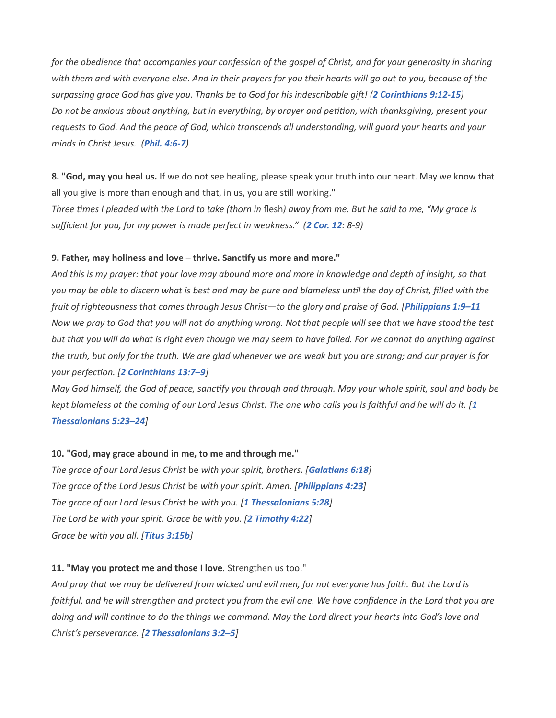for the obedience that accompanies your confession of the gospel of Christ, and for your generosity in sharing with them and with everyone else. And in their prayers for you their hearts will go out to you, because of the surpassing grace God has give you. Thanks be to God for his indescribable gift! (2 Corinthians 9:12-15) Do not be anxious about anything, but in everything, by prayer and petition, with thanksgiving, present your requests to God. And the peace of God, which transcends all understanding, will guard your hearts and your minds in Christ Jesus. (Phil. 4:6-7)

8. "God, may you heal us. If we do not see healing, please speak your truth into our heart. May we know that all you give is more than enough and that, in us, you are still working."

Three times I pleaded with the Lord to take (thorn in flesh) away from me. But he said to me, "My grace is sufficient for you, for my power is made perfect in weakness." (2 Cor. 12: 8-9)

#### 9. Father, may holiness and love – thrive. Sanctify us more and more."

And this is my prayer: that your love may abound more and more in knowledge and depth of insight, so that you may be able to discern what is best and may be pure and blameless until the day of Christ, filled with the fruit of righteousness that comes through Jesus Christ-to the glory and praise of God. [Philippians 1:9-11 Now we pray to God that you will not do anything wrong. Not that people will see that we have stood the test but that you will do what is right even though we may seem to have failed. For we cannot do anything against the truth, but only for the truth. We are glad whenever we are weak but you are strong; and our prayer is for your perfection. [2 Corinthians 13:7-9]

May God himself, the God of peace, sanctify you through and through. May your whole spirit, soul and body be kept blameless at the coming of our Lord Jesus Christ. The one who calls you is faithful and he will do it. [1 Thessalonians 5:23–24]

### 10. "God, may grace abound in me, to me and through me."

The grace of our Lord Jesus Christ be with your spirit, brothers. [Galatians 6:18] The grace of the Lord Jesus Christ be with your spirit. Amen. [Philippians 4:23] The grace of our Lord Jesus Christ be with you. [1 Thessalonians 5:28] The Lord be with your spirit. Grace be with you. [2 Timothy 4:22] Grace be with you all. [Titus 3:15b]

### 11. "May you protect me and those I love. Strengthen us too."

And pray that we may be delivered from wicked and evil men, for not everyone has faith. But the Lord is faithful, and he will strengthen and protect you from the evil one. We have confidence in the Lord that you are doing and will continue to do the things we command. May the Lord direct your hearts into God's love and Christ's perseverance. [2 Thessalonians 3:2–5]